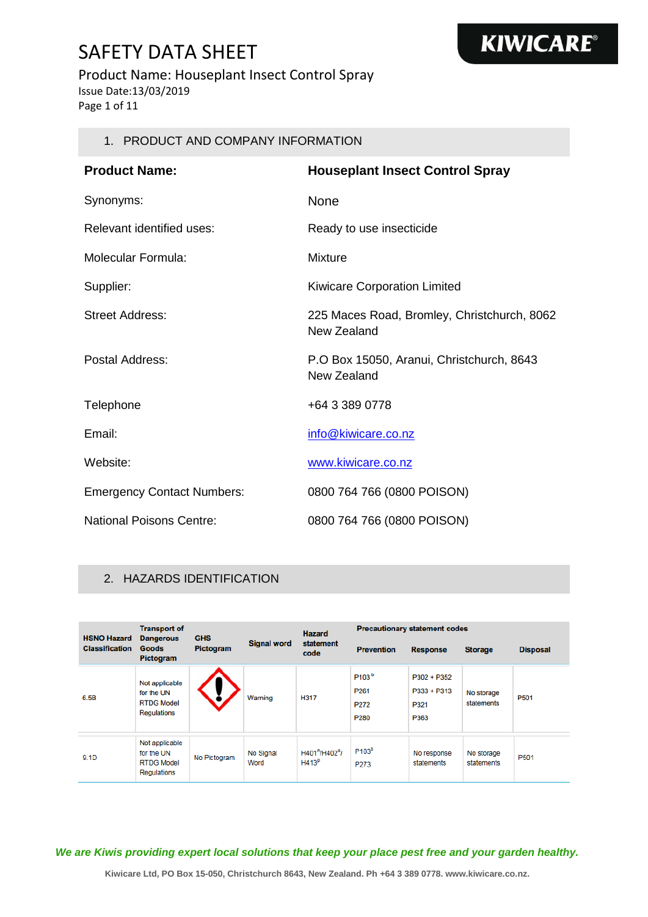#### Product Name: Houseplant Insect Control Spray

Issue Date:13/03/2019

Page 1 of 11

#### 1. PRODUCT AND COMPANY INFORMATION

| <b>Product Name:</b>              | <b>Houseplant Insect Control Spray</b>                     |
|-----------------------------------|------------------------------------------------------------|
| Synonyms:                         | None                                                       |
| Relevant identified uses:         | Ready to use insecticide                                   |
| Molecular Formula:                | Mixture                                                    |
| Supplier:                         | <b>Kiwicare Corporation Limited</b>                        |
| Street Address:                   | 225 Maces Road, Bromley, Christchurch, 8062<br>New Zealand |
| Postal Address:                   | P.O Box 15050, Aranui, Christchurch, 8643<br>New Zealand   |
| Telephone                         | +64 3 389 0778                                             |
| Email:                            | info@kiwicare.co.nz                                        |
| Website:                          | www.kiwicare.co.nz                                         |
| <b>Emergency Contact Numbers:</b> | 0800 764 766 (0800 POISON)                                 |
| <b>National Poisons Centre:</b>   | 0800 764 766 (0800 POISON)                                 |

#### 2. HAZARDS IDENTIFICATION

| <b>HSNO Hazard</b>    | <b>Transport of</b><br><b>Dangerous</b>                                 | <b>GHS</b>       |                    | <b>Hazard</b><br>statement<br>code                          | <b>Precautionary statement codes</b>                              |                                                |                          |                  |
|-----------------------|-------------------------------------------------------------------------|------------------|--------------------|-------------------------------------------------------------|-------------------------------------------------------------------|------------------------------------------------|--------------------------|------------------|
| <b>Classification</b> | <b>Goods</b><br>Pictogram                                               | <b>Pictogram</b> | <b>Signal word</b> |                                                             | <b>Prevention</b>                                                 | <b>Response</b>                                | <b>Storage</b>           | <b>Disposal</b>  |
| 6.5B                  | Not applicable<br>for the UN<br><b>RTDG Model</b><br><b>Regulations</b> |                  | Warning            | H317                                                        | P103 <sup>b</sup><br>P <sub>261</sub><br>P272<br>P <sub>280</sub> | $P302 + P352$<br>$P333 + P313$<br>P321<br>P363 | No storage<br>statements | P501             |
| 9.1D                  | Not applicable<br>for the UN<br><b>RTDG Model</b><br>Regulations        | No Pictogram     | No Signal<br>Word  | H401 <sup>n</sup> /H402 <sup>o</sup> /<br>H413 <sup>p</sup> | P <sub>103</sub> <sup>b</sup><br>P273                             | No response<br>statements                      | No storage<br>statements | P <sub>501</sub> |

*We are Kiwis providing expert local solutions that keep your place pest free and your garden healthy.*

**Kiwicare Ltd, PO Box 15-050, Christchurch 8643, New Zealand. Ph +64 3 389 0778. www.kiwicare.co.nz.**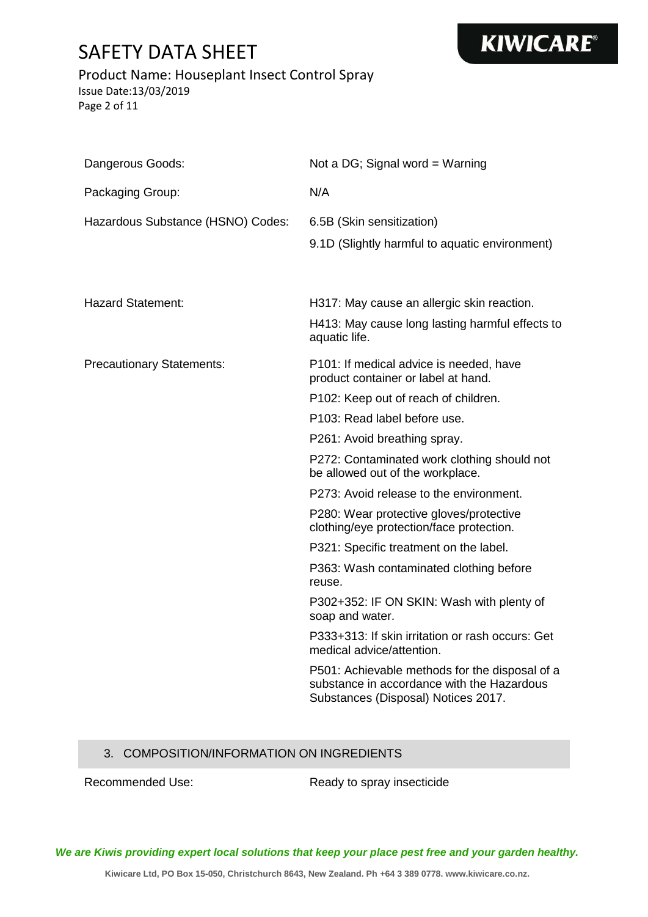# **KIWICARE®**

#### Product Name: Houseplant Insect Control Spray

Issue Date:13/03/2019 Page 2 of 11

| Dangerous Goods:                  | Not a DG; Signal word = Warning                                                                                                     |
|-----------------------------------|-------------------------------------------------------------------------------------------------------------------------------------|
| Packaging Group:                  | N/A                                                                                                                                 |
| Hazardous Substance (HSNO) Codes: | 6.5B (Skin sensitization)<br>9.1D (Slightly harmful to aquatic environment)                                                         |
| <b>Hazard Statement:</b>          | H317: May cause an allergic skin reaction.<br>H413: May cause long lasting harmful effects to                                       |
|                                   | aquatic life.                                                                                                                       |
| <b>Precautionary Statements:</b>  | P101: If medical advice is needed, have<br>product container or label at hand.                                                      |
|                                   | P102: Keep out of reach of children.                                                                                                |
|                                   | P103: Read label before use.                                                                                                        |
|                                   | P261: Avoid breathing spray.                                                                                                        |
|                                   | P272: Contaminated work clothing should not<br>be allowed out of the workplace.                                                     |
|                                   | P273: Avoid release to the environment.                                                                                             |
|                                   | P280: Wear protective gloves/protective<br>clothing/eye protection/face protection.                                                 |
|                                   | P321: Specific treatment on the label.                                                                                              |
|                                   | P363: Wash contaminated clothing before<br>reuse.                                                                                   |
|                                   | P302+352: IF ON SKIN: Wash with plenty of<br>soap and water.                                                                        |
|                                   | P333+313: If skin irritation or rash occurs: Get<br>medical advice/attention.                                                       |
|                                   | P501: Achievable methods for the disposal of a<br>substance in accordance with the Hazardous<br>Substances (Disposal) Notices 2017. |

#### 3. COMPOSITION/INFORMATION ON INGREDIENTS

Recommended Use: Ready to spray insecticide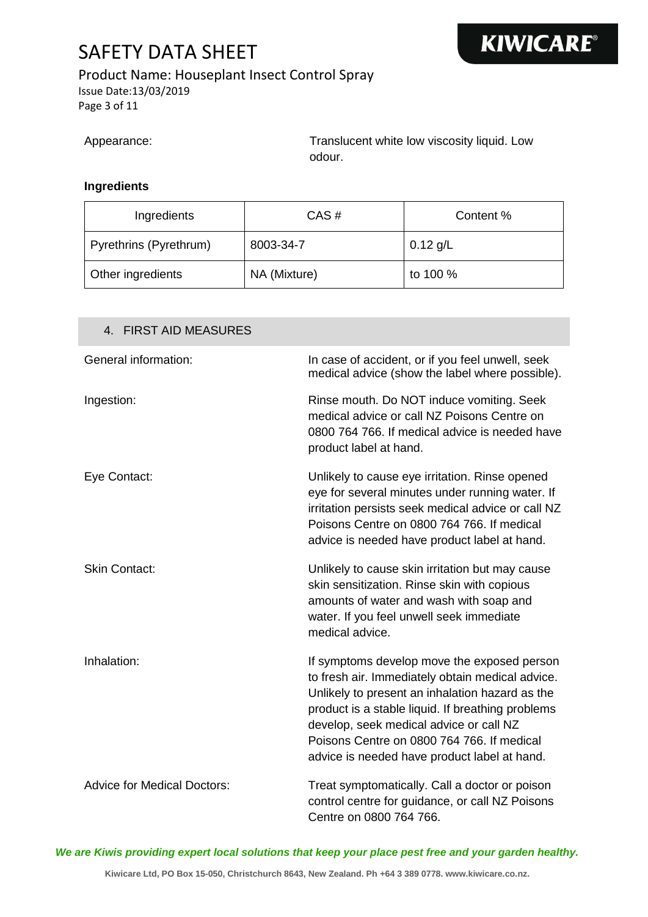### Product Name: Houseplant Insect Control Spray

Issue Date:13/03/2019 Page 3 of 11

Appearance: Translucent white low viscosity liquid. Low odour.

#### **Ingredients**

| Ingredients            | CAS#         | Content %  |
|------------------------|--------------|------------|
| Pyrethrins (Pyrethrum) | 8003-34-7    | $0.12$ g/L |
| Other ingredients      | NA (Mixture) | to 100 %   |

| 4. FIRST AID MEASURES              |                                                                                                                                                                                                                                                                                                                                                  |
|------------------------------------|--------------------------------------------------------------------------------------------------------------------------------------------------------------------------------------------------------------------------------------------------------------------------------------------------------------------------------------------------|
| General information:               | In case of accident, or if you feel unwell, seek<br>medical advice (show the label where possible).                                                                                                                                                                                                                                              |
| Ingestion:                         | Rinse mouth. Do NOT induce vomiting. Seek<br>medical advice or call NZ Poisons Centre on<br>0800 764 766. If medical advice is needed have<br>product label at hand.                                                                                                                                                                             |
| Eye Contact:                       | Unlikely to cause eye irritation. Rinse opened<br>eye for several minutes under running water. If<br>irritation persists seek medical advice or call NZ<br>Poisons Centre on 0800 764 766. If medical<br>advice is needed have product label at hand.                                                                                            |
| <b>Skin Contact:</b>               | Unlikely to cause skin irritation but may cause<br>skin sensitization. Rinse skin with copious<br>amounts of water and wash with soap and<br>water. If you feel unwell seek immediate<br>medical advice.                                                                                                                                         |
| Inhalation:                        | If symptoms develop move the exposed person<br>to fresh air. Immediately obtain medical advice.<br>Unlikely to present an inhalation hazard as the<br>product is a stable liquid. If breathing problems<br>develop, seek medical advice or call NZ<br>Poisons Centre on 0800 764 766. If medical<br>advice is needed have product label at hand. |
| <b>Advice for Medical Doctors:</b> | Treat symptomatically. Call a doctor or poison<br>control centre for guidance, or call NZ Poisons<br>Centre on 0800 764 766.                                                                                                                                                                                                                     |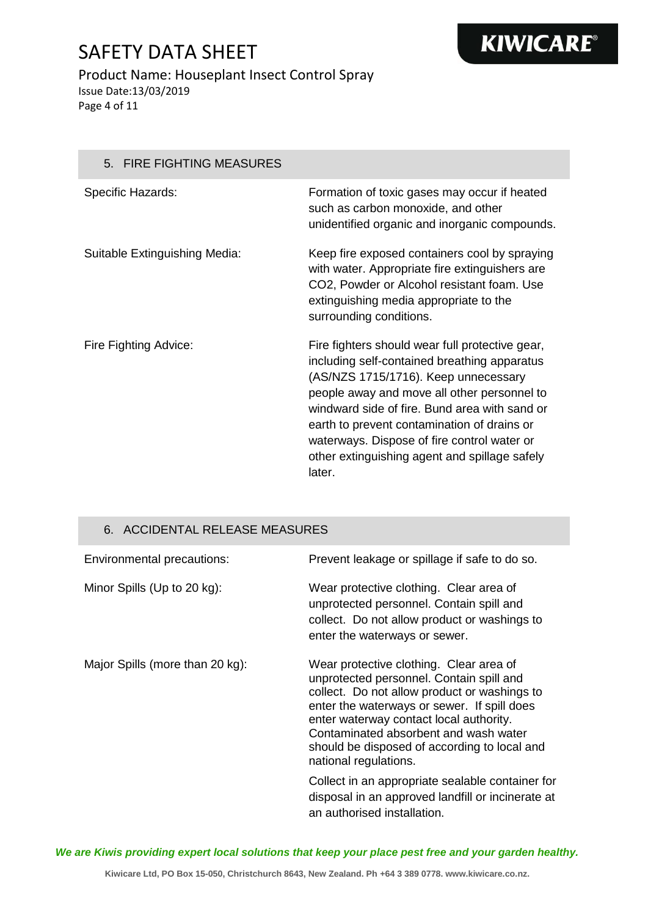# **KIWICARE®**

#### Product Name: Houseplant Insect Control Spray Issue Date:13/03/2019 Page 4 of 11

5. FIRE FIGHTING MEASURES Specific Hazards: Formation of toxic gases may occur if heated such as carbon monoxide, and other unidentified organic and inorganic compounds. Suitable Extinguishing Media: Keep fire exposed containers cool by spraying with water. Appropriate fire extinguishers are CO2, Powder or Alcohol resistant foam. Use extinguishing media appropriate to the surrounding conditions. Fire Fighting Advice: Fire fighters should wear full protective gear, including self-contained breathing apparatus (AS/NZS 1715/1716). Keep unnecessary people away and move all other personnel to windward side of fire. Bund area with sand or earth to prevent contamination of drains or waterways. Dispose of fire control water or other extinguishing agent and spillage safely later.

#### 6. ACCIDENTAL RELEASE MEASURES

| Environmental precautions:      | Prevent leakage or spillage if safe to do so.                                                                                                                                                                                                                                                                                                   |
|---------------------------------|-------------------------------------------------------------------------------------------------------------------------------------------------------------------------------------------------------------------------------------------------------------------------------------------------------------------------------------------------|
| Minor Spills (Up to 20 kg):     | Wear protective clothing. Clear area of<br>unprotected personnel. Contain spill and<br>collect. Do not allow product or washings to<br>enter the waterways or sewer.                                                                                                                                                                            |
| Major Spills (more than 20 kg): | Wear protective clothing. Clear area of<br>unprotected personnel. Contain spill and<br>collect. Do not allow product or washings to<br>enter the waterways or sewer. If spill does<br>enter waterway contact local authority.<br>Contaminated absorbent and wash water<br>should be disposed of according to local and<br>national regulations. |
|                                 | Collect in an appropriate sealable container for<br>disposal in an approved landfill or incinerate at<br>an authorised installation.                                                                                                                                                                                                            |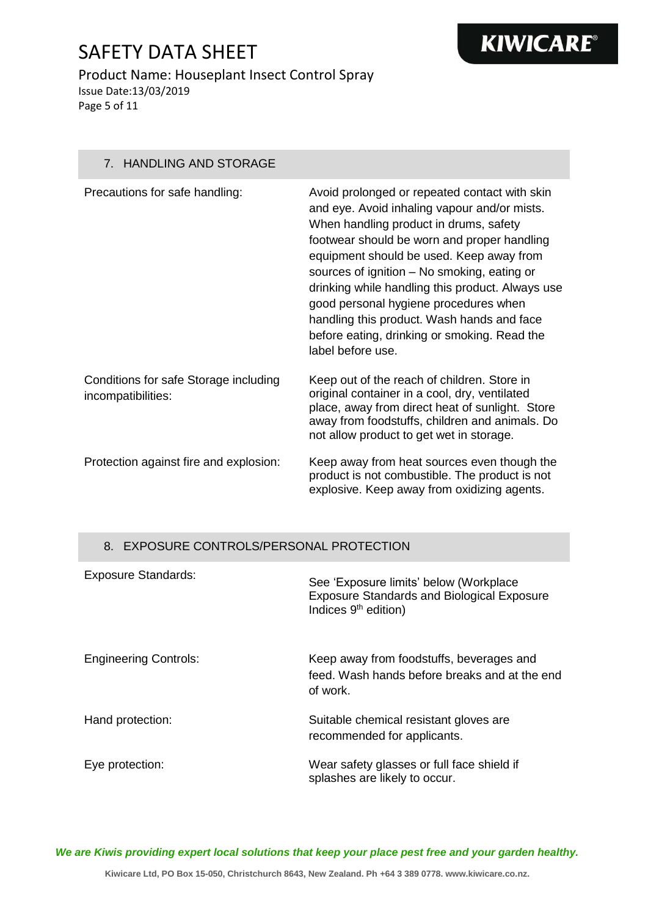# **KIWICARE®**

#### Product Name: Houseplant Insect Control Spray Issue Date:13/03/2019 Page 5 of 11

7. HANDLING AND STORAGE

| Precautions for safe handling:                              | Avoid prolonged or repeated contact with skin<br>and eye. Avoid inhaling vapour and/or mists.<br>When handling product in drums, safety<br>footwear should be worn and proper handling<br>equipment should be used. Keep away from<br>sources of ignition - No smoking, eating or<br>drinking while handling this product. Always use<br>good personal hygiene procedures when<br>handling this product. Wash hands and face<br>before eating, drinking or smoking. Read the<br>label before use. |
|-------------------------------------------------------------|---------------------------------------------------------------------------------------------------------------------------------------------------------------------------------------------------------------------------------------------------------------------------------------------------------------------------------------------------------------------------------------------------------------------------------------------------------------------------------------------------|
| Conditions for safe Storage including<br>incompatibilities: | Keep out of the reach of children. Store in<br>original container in a cool, dry, ventilated<br>place, away from direct heat of sunlight. Store<br>away from foodstuffs, children and animals. Do<br>not allow product to get wet in storage.                                                                                                                                                                                                                                                     |
| Protection against fire and explosion:                      | Keep away from heat sources even though the<br>product is not combustible. The product is not<br>explosive. Keep away from oxidizing agents.                                                                                                                                                                                                                                                                                                                                                      |

#### 8. EXPOSURE CONTROLS/PERSONAL PROTECTION

| <b>Exposure Standards:</b>   | See 'Exposure limits' below (Workplace<br><b>Exposure Standards and Biological Exposure</b><br>Indices 9 <sup>th</sup> edition) |
|------------------------------|---------------------------------------------------------------------------------------------------------------------------------|
| <b>Engineering Controls:</b> | Keep away from foodstuffs, beverages and<br>feed. Wash hands before breaks and at the end<br>of work.                           |
| Hand protection:             | Suitable chemical resistant gloves are<br>recommended for applicants.                                                           |
| Eye protection:              | Wear safety glasses or full face shield if<br>splashes are likely to occur.                                                     |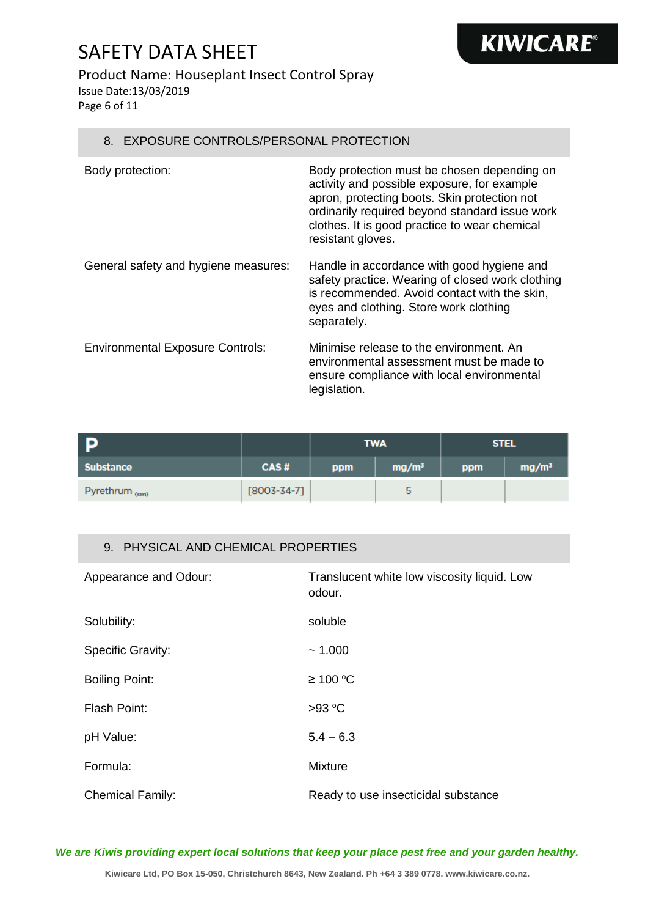#### Product Name: Houseplant Insect Control Spray

Issue Date:13/03/2019

Page 6 of 11

#### 8. EXPOSURE CONTROLS/PERSONAL PROTECTION

| Body protection:                        | Body protection must be chosen depending on<br>activity and possible exposure, for example<br>apron, protecting boots. Skin protection not<br>ordinarily required beyond standard issue work<br>clothes. It is good practice to wear chemical<br>resistant gloves. |
|-----------------------------------------|--------------------------------------------------------------------------------------------------------------------------------------------------------------------------------------------------------------------------------------------------------------------|
| General safety and hygiene measures:    | Handle in accordance with good hygiene and<br>safety practice. Wearing of closed work clothing<br>is recommended. Avoid contact with the skin,<br>eyes and clothing. Store work clothing<br>separately.                                                            |
| <b>Environmental Exposure Controls:</b> | Minimise release to the environment. An<br>environmental assessment must be made to<br>ensure compliance with local environmental<br>legislation.                                                                                                                  |

**KIWICARE®** 

| <b>P</b>                   |                   |     | <b>TWA</b>        | <b>STEL</b> |                   |
|----------------------------|-------------------|-----|-------------------|-------------|-------------------|
| <b>Substance</b>           | CAS#              | ppm | mg/m <sup>3</sup> | ppm         | mg/m <sup>3</sup> |
| Pyrethrum <sub>(sen)</sub> | $[8003 - 34 - 7]$ |     | 5                 |             |                   |

#### 9. PHYSICAL AND CHEMICAL PROPERTIES

| Appearance and Odour:    | Translucent white low viscosity liquid. Low<br>odour. |
|--------------------------|-------------------------------------------------------|
| Solubility:              | soluble                                               |
| <b>Specific Gravity:</b> | ~1.000                                                |
| <b>Boiling Point:</b>    | ≥ 100 °C                                              |
| <b>Flash Point:</b>      | >93 °C                                                |
| pH Value:                | $5.4 - 6.3$                                           |
| Formula:                 | <b>Mixture</b>                                        |
| <b>Chemical Family:</b>  | Ready to use insecticidal substance                   |

*We are Kiwis providing expert local solutions that keep your place pest free and your garden healthy.*

**Kiwicare Ltd, PO Box 15-050, Christchurch 8643, New Zealand. Ph +64 3 389 0778. www.kiwicare.co.nz.**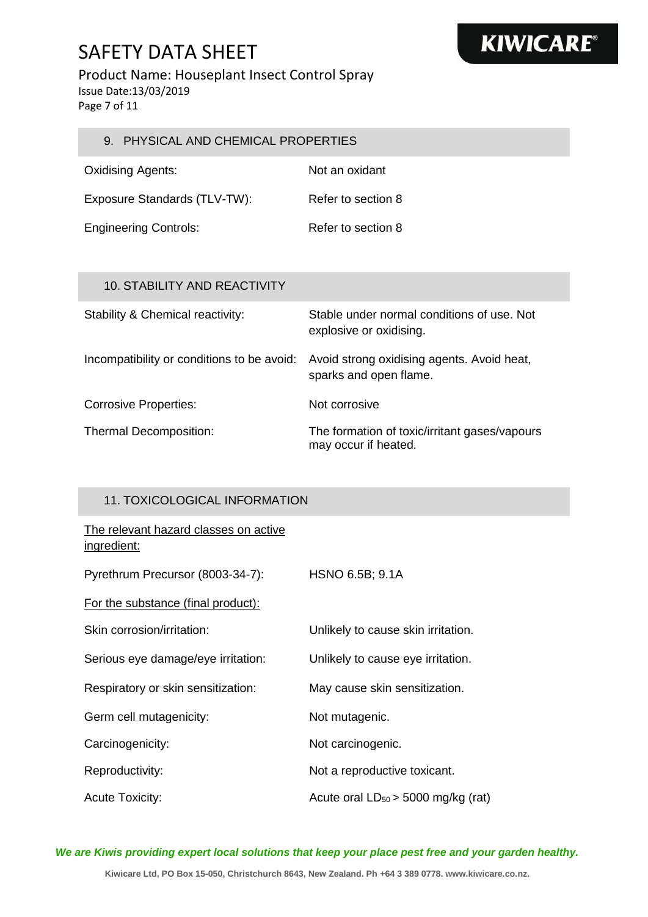### Product Name: Houseplant Insect Control Spray

Issue Date:13/03/2019

Page 7 of 11

| 9. PHYSICAL AND CHEMICAL PROPERTIES |                                                                       |  |
|-------------------------------------|-----------------------------------------------------------------------|--|
| <b>Oxidising Agents:</b>            | Not an oxidant                                                        |  |
| Exposure Standards (TLV-TW):        | Refer to section 8                                                    |  |
| <b>Engineering Controls:</b>        | Refer to section 8                                                    |  |
| 10. STABILITY AND REACTIVITY        |                                                                       |  |
| Stability & Chemical reactivity:    | Stable under normal conditions of use. Not<br>explosive or oxidising. |  |

sparks and open flame.

may occur if heated.

Incompatibility or conditions to be avoid: Avoid strong oxidising agents. Avoid heat,

Corrosive Properties: Not corrosive

Thermal Decomposition: The formation of toxic/irritant gases/vapours

#### 11. TOXICOLOGICAL INFORMATION

The relevant hazard classes on active ingredient:

| Pyrethrum Precursor (8003-34-7):   | HSNO 6.5B; 9.1A                         |
|------------------------------------|-----------------------------------------|
| For the substance (final product): |                                         |
| Skin corrosion/irritation:         | Unlikely to cause skin irritation.      |
| Serious eye damage/eye irritation: | Unlikely to cause eye irritation.       |
| Respiratory or skin sensitization: | May cause skin sensitization.           |
| Germ cell mutagenicity:            | Not mutagenic.                          |
| Carcinogenicity:                   | Not carcinogenic.                       |
| Reproductivity:                    | Not a reproductive toxicant.            |
| <b>Acute Toxicity:</b>             | Acute oral $LD_{50}$ > 5000 mg/kg (rat) |

*We are Kiwis providing expert local solutions that keep your place pest free and your garden healthy.*

**Kiwicare Ltd, PO Box 15-050, Christchurch 8643, New Zealand. Ph +64 3 389 0778. www.kiwicare.co.nz.**

# **KIWICARE®**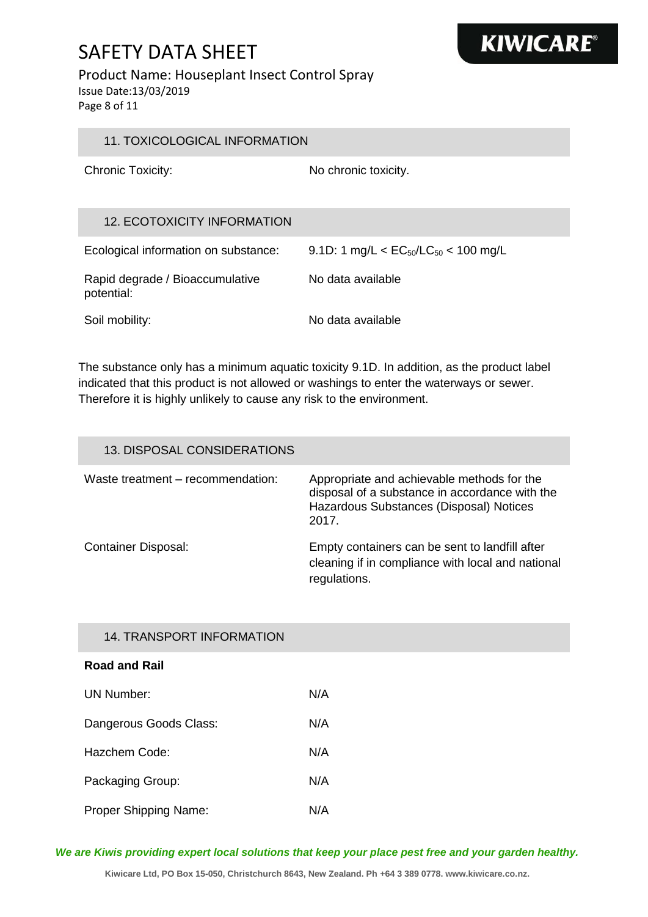#### Product Name: Houseplant Insect Control Spray

Issue Date:13/03/2019

Page 8 of 11

| 11. TOXICOLOGICAL INFORMATION                 |                                                                  |
|-----------------------------------------------|------------------------------------------------------------------|
| <b>Chronic Toxicity:</b>                      | No chronic toxicity.                                             |
| <b>12. ECOTOXICITY INFORMATION</b>            |                                                                  |
| Ecological information on substance:          | 9.1D: 1 mg/L $<$ EC <sub>50</sub> /LC <sub>50</sub> $<$ 100 mg/L |
| Rapid degrade / Bioaccumulative<br>potential: | No data available                                                |
| Soil mobility:                                | No data available                                                |

**KIWICARE®** 

The substance only has a minimum aquatic toxicity 9.1D. In addition, as the product label indicated that this product is not allowed or washings to enter the waterways or sewer. Therefore it is highly unlikely to cause any risk to the environment.

| 13. DISPOSAL CONSIDERATIONS       |                                                                                                                                                  |
|-----------------------------------|--------------------------------------------------------------------------------------------------------------------------------------------------|
| Waste treatment - recommendation: | Appropriate and achievable methods for the<br>disposal of a substance in accordance with the<br>Hazardous Substances (Disposal) Notices<br>2017. |
| <b>Container Disposal:</b>        | Empty containers can be sent to landfill after<br>cleaning if in compliance with local and national<br>regulations.                              |

#### 14. TRANSPORT INFORMATION

#### **Road and Rail**

| UN Number:                   | N/A |
|------------------------------|-----|
| Dangerous Goods Class:       | N/A |
| Hazchem Code:                | N/A |
| Packaging Group:             | N/A |
| <b>Proper Shipping Name:</b> | N/A |

*We are Kiwis providing expert local solutions that keep your place pest free and your garden healthy.*

**Kiwicare Ltd, PO Box 15-050, Christchurch 8643, New Zealand. Ph +64 3 389 0778. www.kiwicare.co.nz.**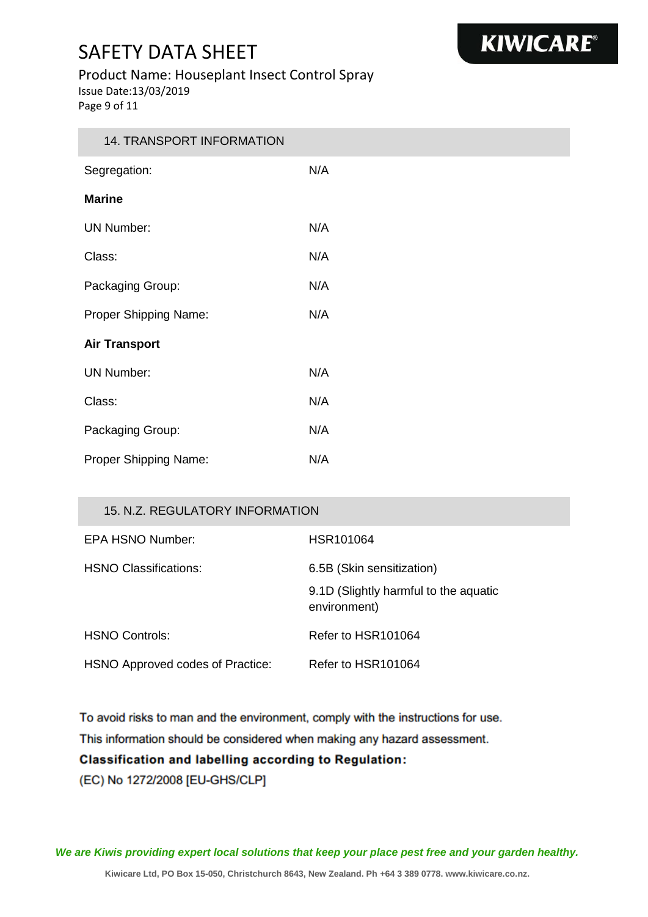#### Product Name: Houseplant Insect Control Spray

Issue Date:13/03/2019

Page 9 of 11

| 14. TRANSPORT INFORMATION |     |  |
|---------------------------|-----|--|
| Segregation:              | N/A |  |
| <b>Marine</b>             |     |  |
| <b>UN Number:</b>         | N/A |  |
| Class:                    | N/A |  |
| Packaging Group:          | N/A |  |
| Proper Shipping Name:     | N/A |  |
| <b>Air Transport</b>      |     |  |
| <b>UN Number:</b>         | N/A |  |
| Class:                    | N/A |  |
| Packaging Group:          | N/A |  |
| Proper Shipping Name:     | N/A |  |

#### 15. N.Z. REGULATORY INFORMATION

| EPA HSNO Number:                 | HSR101064                                             |
|----------------------------------|-------------------------------------------------------|
| HSNO Classifications:            | 6.5B (Skin sensitization)                             |
|                                  | 9.1D (Slightly harmful to the aquatic<br>environment) |
| <b>HSNO Controls:</b>            | Refer to HSR101064                                    |
| HSNO Approved codes of Practice: | Refer to HSR101064                                    |

To avoid risks to man and the environment, comply with the instructions for use.

This information should be considered when making any hazard assessment.

#### **Classification and labelling according to Regulation:**

(EC) No 1272/2008 [EU-GHS/CLP]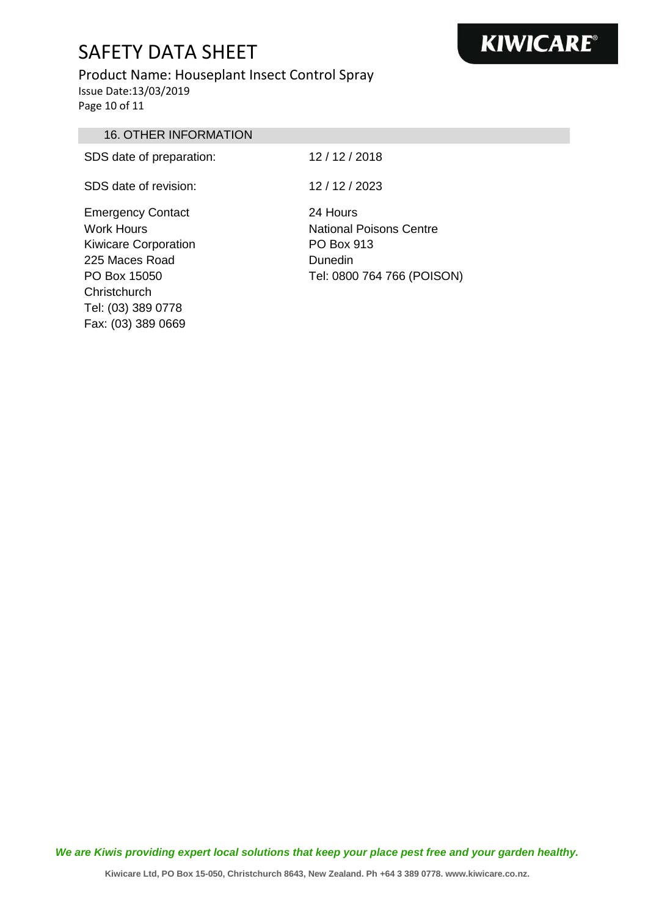#### Product Name: Houseplant Insect Control Spray Issue Date:13/03/2019 Page 10 of 11

16. OTHER INFORMATION SDS date of preparation: 12/12/2018 SDS date of revision: 12 / 12 / 2023 Emergency Contact Work Hours 24 Hours

Kiwicare Corporation 225 Maces Road PO Box 15050 **Christchurch** Tel: (03) 389 0778 Fax: (03) 389 0669

National Poisons Centre PO Box 913 Dunedin Tel: 0800 764 766 (POISON)

*We are Kiwis providing expert local solutions that keep your place pest free and your garden healthy.*

# **KIWICARE®**